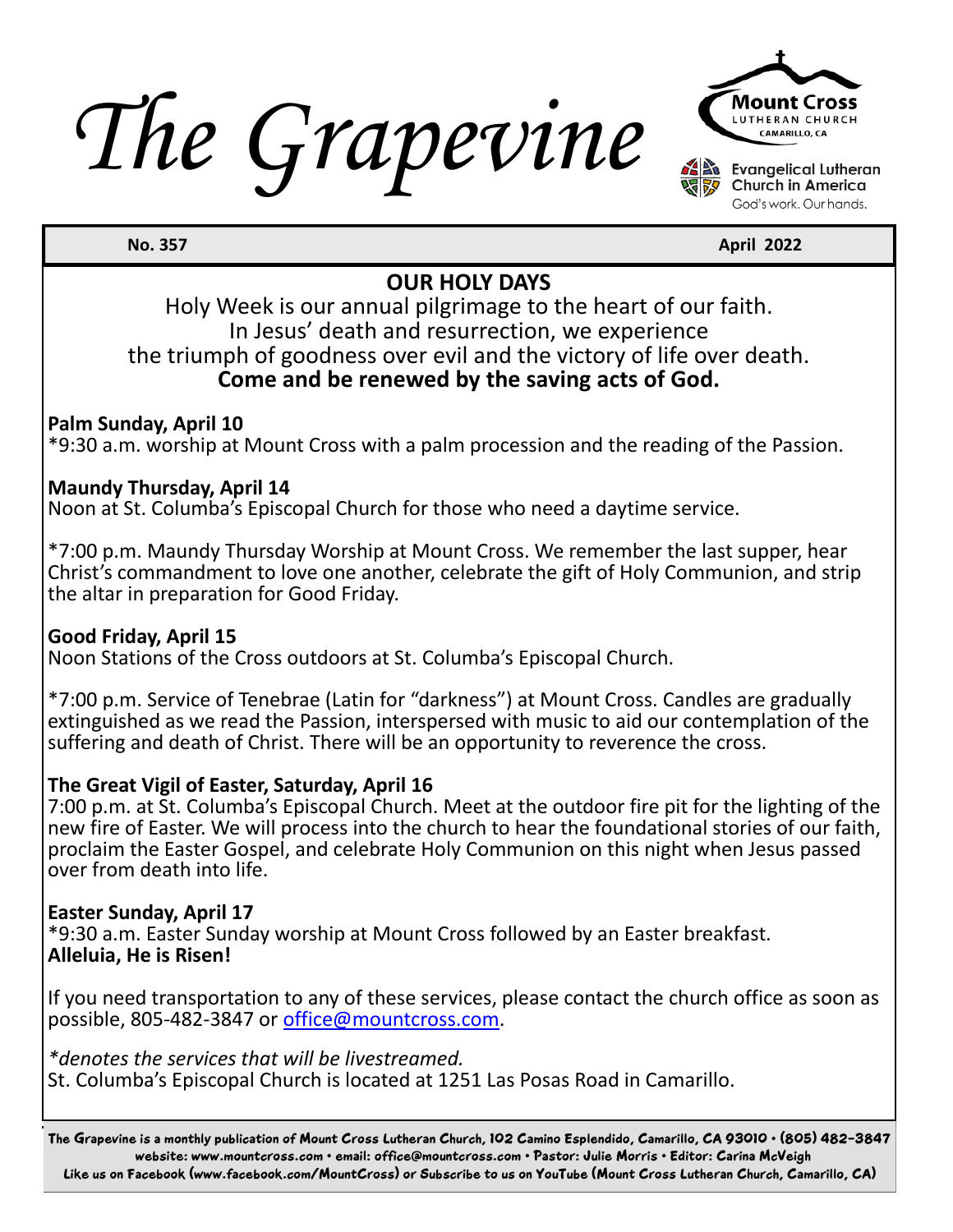*The Grapevine*



God's work. Our hands.

**April 2022 April 2022** 

#### **OUR HOLY DAYS**

Holy Week is our annual pilgrimage to the heart of our faith. In Jesus' death and resurrection, we experience the triumph of goodness over evil and the victory of life over death. **Come and be renewed by the saving acts of God.**

#### **Palm Sunday, April 10**

\*9:30 a.m. worship at Mount Cross with a palm procession and the reading of the Passion.

#### **Maundy Thursday, April 14**

Noon at St. Columba's Episcopal Church for those who need a daytime service.

\*7:00 p.m. Maundy Thursday Worship at Mount Cross. We remember the last supper, hear Christ's commandment to love one another, celebrate the gift of Holy Communion, and strip the altar in preparation for Good Friday.

#### **Good Friday, April 15**

Noon Stations of the Cross outdoors at St. Columba's Episcopal Church.

\*7:00 p.m. Service of Tenebrae (Latin for "darkness") at Mount Cross. Candles are gradually extinguished as we read the Passion, interspersed with music to aid our contemplation of the suffering and death of Christ. There will be an opportunity to reverence the cross.

#### **The Great Vigil of Easter, Saturday, April 16**

7:00 p.m. at St. Columba's Episcopal Church. Meet at the outdoor fire pit for the lighting of the new fire of Easter. We will process into the church to hear the foundational stories of our faith, proclaim the Easter Gospel, and celebrate Holy Communion on this night when Jesus passed over from death into life.

#### **Easter Sunday, April 17**

\*9:30 a.m. Easter Sunday worship at Mount Cross followed by an Easter breakfast. **Alleluia, He is Risen!**

If you need transportation to any of these services, please contact the church office as soon as possible, 805-482-3847 or office@mountcross.com.

*\*denotes the services that will be livestreamed.*

St. Columba's Episcopal Church is located at 1251 Las Posas Road in Camarillo.

The Grapevine is a monthly publication of Mount Cross Lutheran Church, 102 Camino Esplendido, Camarillo, CA 93010 • (805) 482-3847 website: www.mountcross.com • email: office@mountcross.com • Pastor: Julie Morris • Editor: Carina McVeigh Like us on Facebook (www.facebook.com/MountCross) or Subscribe to us on YouTube (Mount Cross Lutheran Church, Camarillo, CA)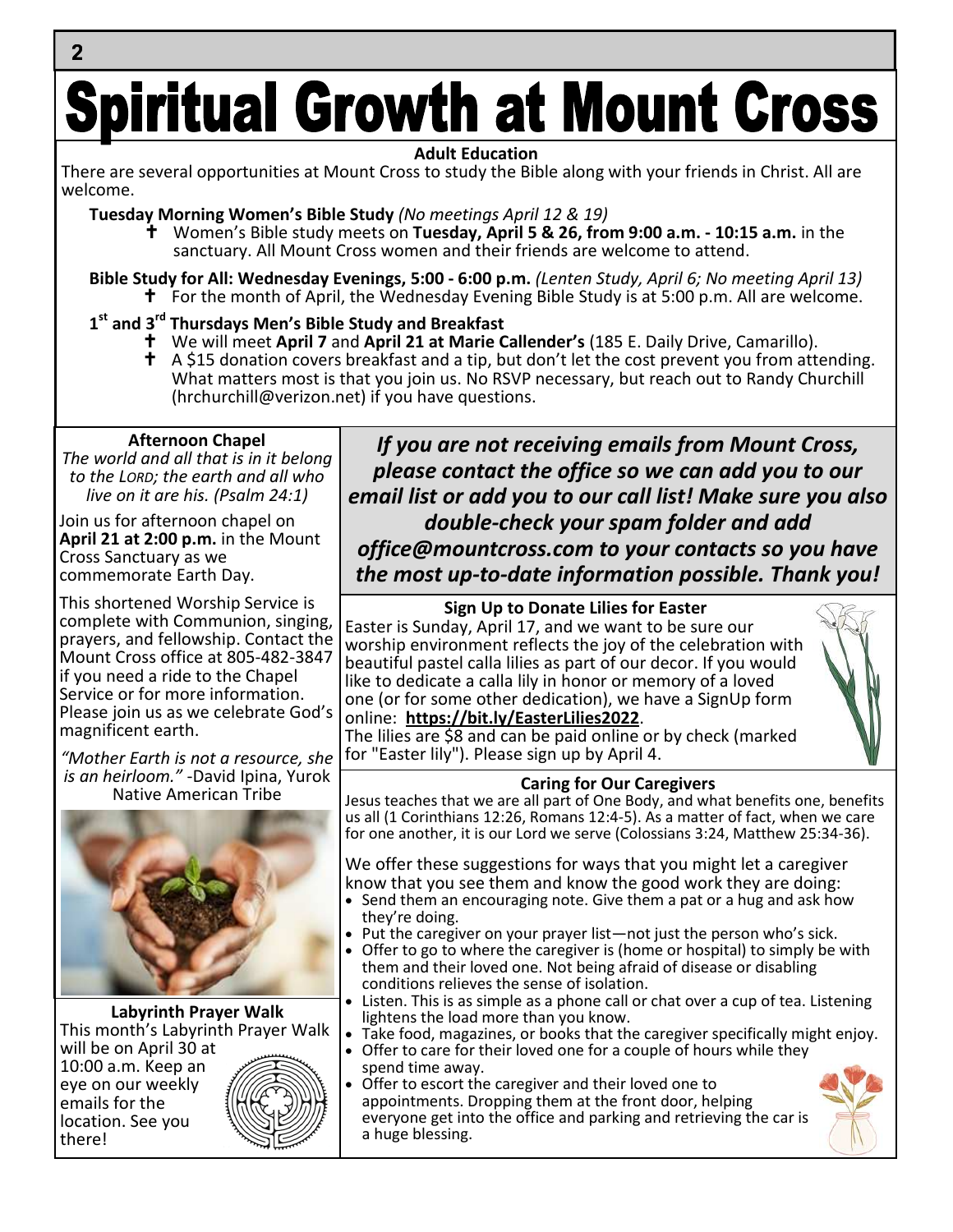# **Spiritual Growth at Mount Cross**

#### **Adult Education**

There are several opportunities at Mount Cross to study the Bible along with your friends in Christ. All are welcome.

**Tuesday Morning Women's Bible Study** *(No meetings April 12 & 19)*

- Women's Bible study meets on **Tuesday, April 5 & 26, from 9:00 a.m. 10:15 a.m.** in the sanctuary. All Mount Cross women and their friends are welcome to attend.
- **Bible Study for All: Wednesday Evenings, 5:00 6:00 p.m.** *(Lenten Study, April 6; No meeting April 13)* **†** For the month of April, the Wednesday Evening Bible Study is at 5:00 p.m. All are welcome.

#### **1 st and 3rd Thursdays Men's Bible Study and Breakfast**

- We will meet **April 7** and **April 21 at Marie Callender's** (185 E. Daily Drive, Camarillo).
- $\uparrow$  A \$15 donation covers breakfast and a tip, but don't let the cost prevent you from attending. What matters most is that you join us. No RSVP necessary, but reach out to Randy Churchill (hrchurchill@verizon.net) if you have questions.

#### **Afternoon Chapel**

 $\overline{2}$ 

*The world and all that is in it belong to the LORD; the earth and all who live on it are his. (Psalm 24:1)*

Join us for afternoon chapel on **April 21 at 2:00 p.m.** in the Mount Cross Sanctuary as we commemorate Earth Day.

This shortened Worship Service is complete with Communion, singing, prayers, and fellowship. Contact the Mount Cross office at 805-482-3847 if you need a ride to the Chapel Service or for more information. Please join us as we celebrate God's magnificent earth.

*"Mother Earth is not a resource, she is an heirloom."* -David Ipina, Yurok Native American Tribe



**Labyrinth Prayer Walk** This month's Labyrinth Prayer Walk

will be on April 30 at 10:00 a.m. Keep an eye on our weekly emails for the location. See you there!



*If you are not receiving emails from Mount Cross, please contact the office so we can add you to our email list or add you to our call list! Make sure you also double-check your spam folder and add*

*office@mountcross.com to your contacts so you have the most up-to-date information possible. Thank you!*

**Sign Up to Donate Lilies for Easter** Easter is Sunday, April 17, and we want to be sure our worship environment reflects the joy of the celebration with beautiful pastel calla lilies as part of our decor. If you would like to dedicate a calla lily in honor or memory of a loved one (or for some other dedication), we have a SignUp form online: **https://bit.ly/EasterLilies2022**.



The lilies are \$8 and can be paid online or by check (marked for "Easter lily"). Please sign up by April 4.

#### **Caring for Our Caregivers**

Jesus teaches that we are all part of One Body, and what benefits one, benefits us all (1 Corinthians 12:26, Romans 12:4-5). As a matter of fact, when we care for one another, it is our Lord we serve (Colossians 3:24, Matthew 25:34-36).

We offer these suggestions for ways that you might let a caregiver know that you see them and know the good work they are doing:

- Send them an encouraging note. Give them a pat or a hug and ask how they're doing.
- Put the caregiver on your prayer list—not just the person who's sick.
- Offer to go to where the caregiver is (home or hospital) to simply be with them and their loved one. Not being afraid of disease or disabling conditions relieves the sense of isolation.
- Listen. This is as simple as a phone call or chat over a cup of tea. Listening lightens the load more than you know.
- Take food, magazines, or books that the caregiver specifically might enjoy.
- Offer to care for their loved one for a couple of hours while they spend time away.

 Offer to escort the caregiver and their loved one to appointments. Dropping them at the front door, helping everyone get into the office and parking and retrieving the car is a huge blessing.

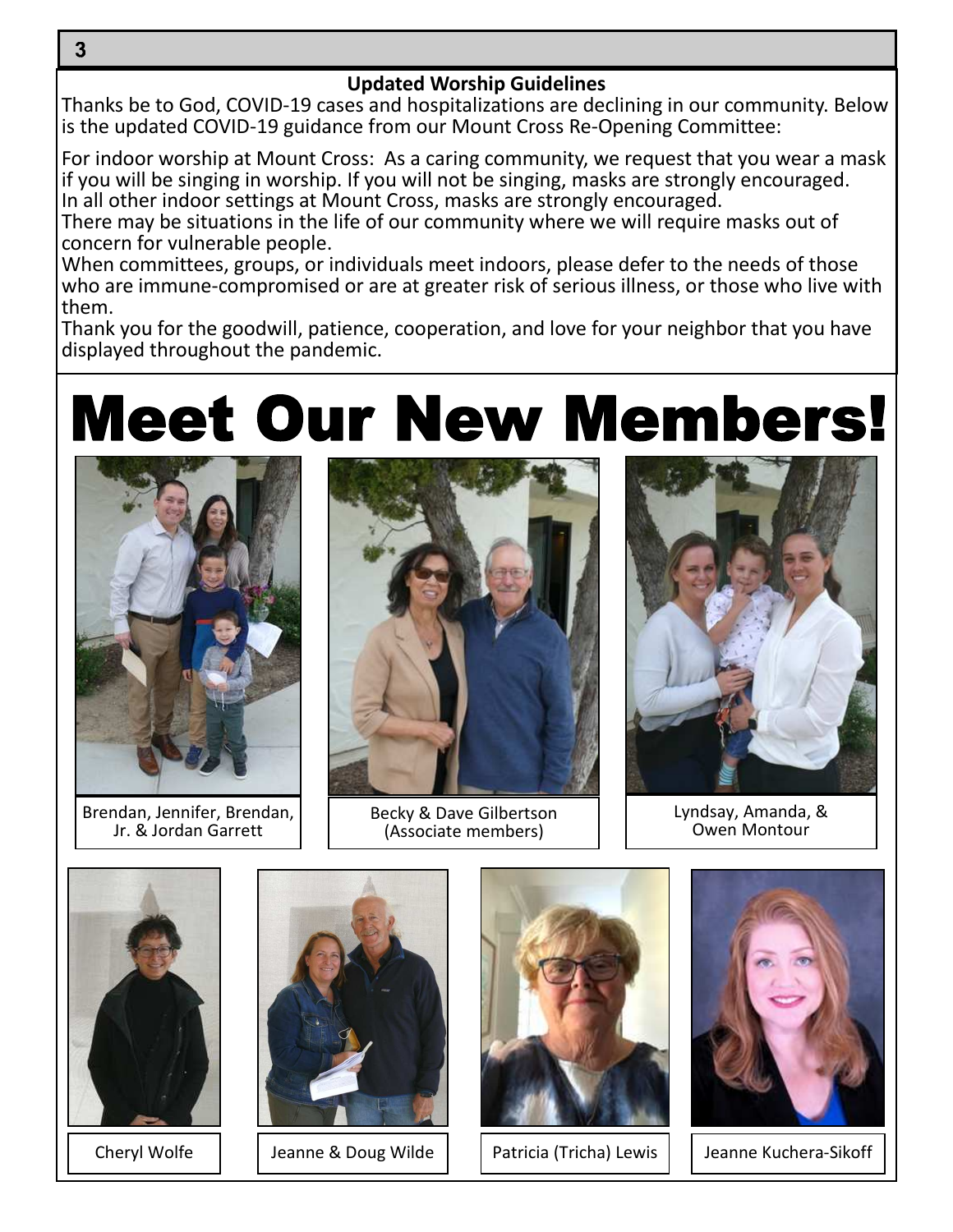3

#### **Updated Worship Guidelines**

Thanks be to God, COVID-19 cases and hospitalizations are declining in our community. Below is the updated COVID-19 guidance from our Mount Cross Re-Opening Committee:

For indoor worship at Mount Cross: As a caring community, we request that you wear a mask if you will be singing in worship. If you will not be singing, masks are strongly encouraged. In all other indoor settings at Mount Cross, masks are strongly encouraged.

There may be situations in the life of our community where we will require masks out of concern for vulnerable people.

When committees, groups, or individuals meet indoors, please defer to the needs of those who are immune-compromised or are at greater risk of serious illness, or those who live with them.

Thank you for the goodwill, patience, cooperation, and love for your neighbor that you have displayed throughout the pandemic.

### **Meet Our New Members!**



Brendan, Jennifer, Brendan, Jr. & Jordan Garrett



Becky & Dave Gilbertson (Associate members)



Lyndsay, Amanda, & Owen Montour







Cheryl Wolfe | Jeanne & Doug Wilde | | Patricia (Tricha) Lewis | | Jeanne Kuchera-Sikoff

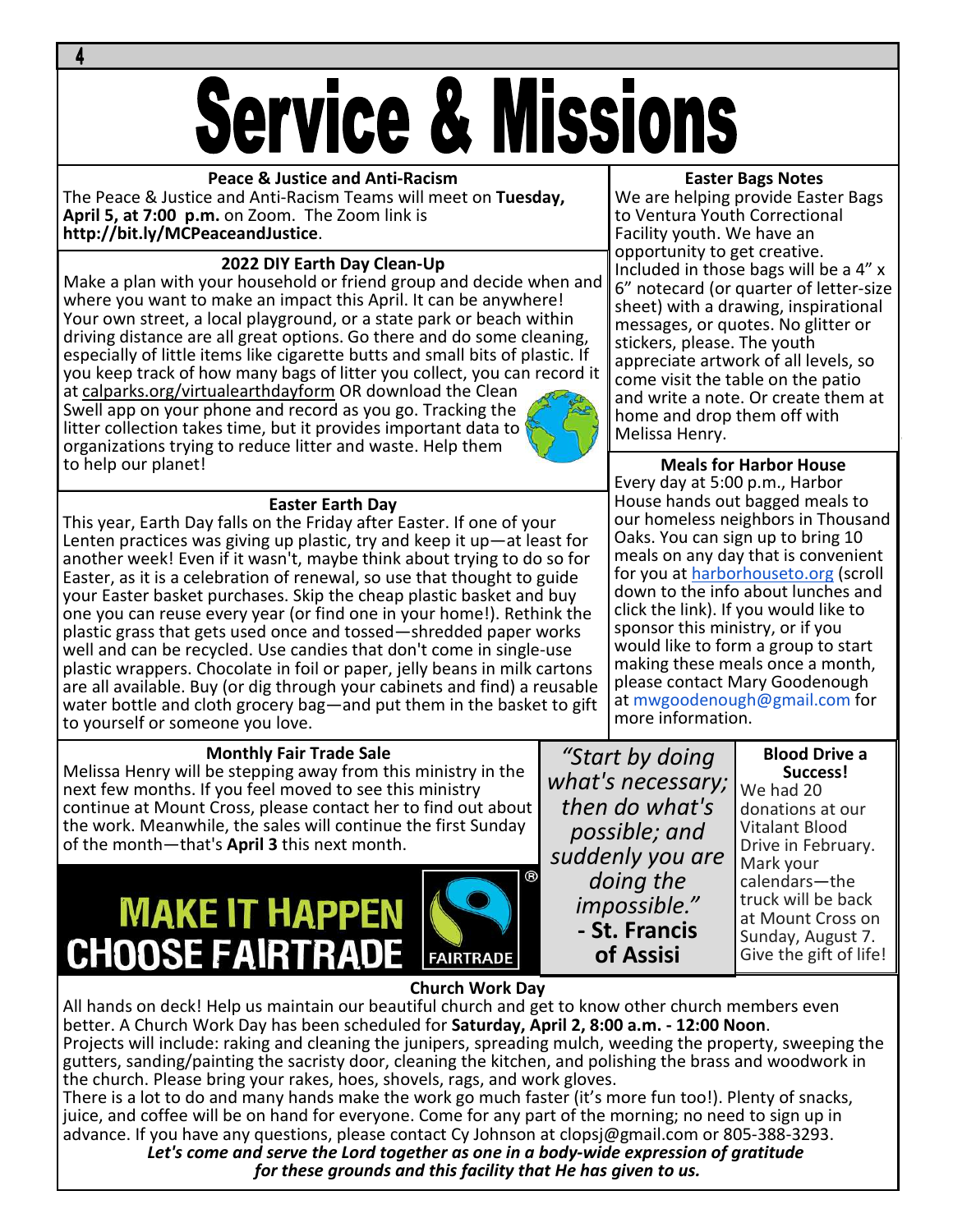# **Service & Missions**

#### **Peace & Justice and Anti-Racism**

The Peace & Justice and Anti-Racism Teams will meet on **Tuesday, April 5, at 7:00 p.m.** on Zoom. The Zoom link is **http://bit.ly/MCPeaceandJustice**.

#### **2022 DIY Earth Day Clean-Up**

Make a plan with your household or friend group and decide when and where you want to make an impact this April. It can be anywhere! Your own street, a local playground, or a state park or beach within driving distance are all great options. Go there and do some cleaning, especially of little items like cigarette butts and small bits of plastic. If you keep track of how many bags of litter you collect, you can record it

at calparks.org/virtualearthdayform OR download the Clean Swell app on your phone and record as you go. Tracking the litter collection takes time, but it provides important data to organizations trying to reduce litter and waste. Help them to help our planet!



#### **Easter Earth Day**

This year, Earth Day falls on the Friday after Easter. If one of your Lenten practices was giving up plastic, try and keep it up—at least for another week! Even if it wasn't, maybe think about trying to do so for Easter, as it is a celebration of renewal, so use that thought to guide your Easter basket purchases. Skip the cheap plastic basket and buy one you can reuse every year (or find one in your home!). Rethink the plastic grass that gets used once and tossed—shredded paper works well and can be recycled. Use candies that don't come in single-use plastic wrappers. Chocolate in foil or paper, jelly beans in milk cartons are all available. Buy (or dig through your cabinets and find) a reusable water bottle and cloth grocery bag—and put them in the basket to gift to yourself or someone you love.

#### **Monthly Fair Trade Sale**

Melissa Henry will be stepping away from this ministry in the next few months. If you feel moved to see this ministry continue at Mount Cross, please contact her to find out about the work. Meanwhile, the sales will continue the first Sunday of the month—that's **April 3** this next month.

### **MAKE IT HAPPEN CHOOSE FAIRTRADE**



#### **Easter Bags Notes**

We are helping provide Easter Bags to Ventura Youth Correctional Facility youth. We have an opportunity to get creative. Included in those bags will be a 4" x 6" notecard (or quarter of letter-size sheet) with a drawing, inspirational messages, or quotes. No glitter or stickers, please. The youth appreciate artwork of all levels, so come visit the table on the patio and write a note. Or create them at home and drop them off with Melissa Henry.

#### **Meals for Harbor House** Every day at 5:00 p.m., Harbor House hands out bagged meals to our homeless neighbors in Thousand Oaks. You can sign up to bring 10 meals on any day that is convenient for you at harborhouseto.org (scroll down to the info about lunches and click the link). If you would like to sponsor this ministry, or if you would like to form a group to start making these meals once a month, please contact Mary Goodenough at mwgoodenough@gmail.com for more information.

*"Start by doing what's necessary; then do what's possible; and suddenly you are doing the impossible."* **- St. Francis of Assisi**

#### **Blood Drive a Success!**

We had 20 donations at our Vitalant Blood Drive in February. Mark your calendars—the truck will be back at Mount Cross on Sunday, August 7. Give the gift of life!

**Church Work Day**

All hands on deck! Help us maintain our beautiful church and get to know other church members even better. A Church Work Day has been scheduled for **Saturday, April 2, 8:00 a.m. - 12:00 Noon**. Projects will include: raking and cleaning the junipers, spreading mulch, weeding the property, sweeping the gutters, sanding/painting the sacristy door, cleaning the kitchen, and polishing the brass and woodwork in the church. Please bring your rakes, hoes, shovels, rags, and work gloves.

There is a lot to do and many hands make the work go much faster (it's more fun too!). Plenty of snacks, juice, and coffee will be on hand for everyone. Come for any part of the morning; no need to sign up in advance. If you have any questions, please contact Cy Johnson at clopsj@gmail.com or 805-388-3293.

*Let's come and serve the Lord together as one in a body-wide expression of gratitude for these grounds and this facility that He has given to us.*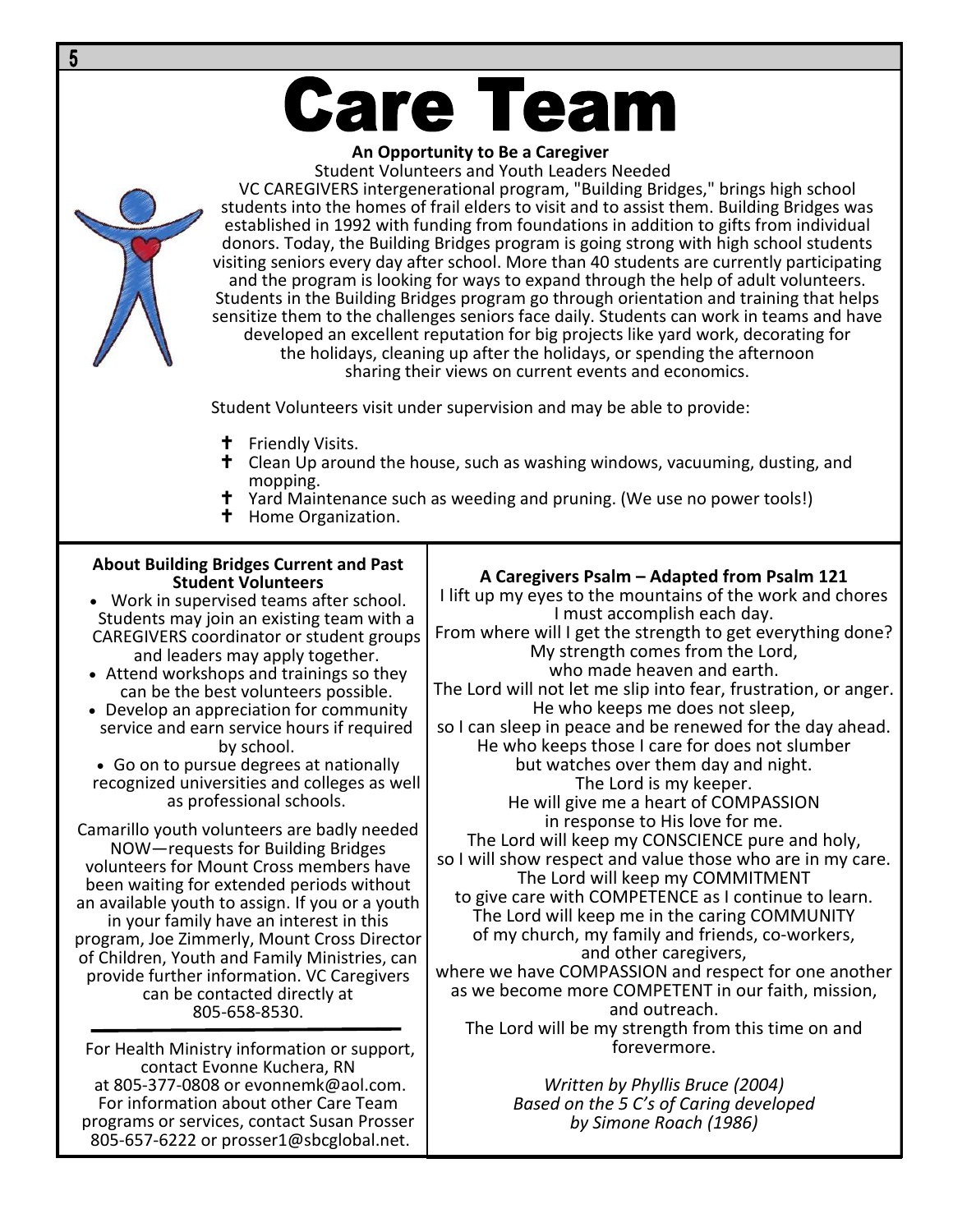## **Care Team**

#### **An Opportunity to Be a Caregiver**

Student Volunteers and Youth Leaders Needed

VC CAREGIVERS intergenerational program, "Building Bridges," brings high school students into the homes of frail elders to visit and to assist them. Building Bridges was established in 1992 with funding from foundations in addition to gifts from individual donors. Today, the Building Bridges program is going strong with high school students visiting seniors every day after school. More than 40 students are currently participating and the program is looking for ways to expand through the help of adult volunteers. Students in the Building Bridges program go through orientation and training that helps sensitize them to the challenges seniors face daily. Students can work in teams and have developed an excellent reputation for big projects like yard work, decorating for the holidays, cleaning up after the holidays, or spending the afternoon sharing their views on current events and economics.

Student Volunteers visit under supervision and may be able to provide:

- **t** Friendly Visits.
- $\dagger$  Clean Up around the house, such as washing windows, vacuuming, dusting, and mopping.
- **†** Yard Maintenance such as weeding and pruning. (We use no power tools!)<br>**†** Home Organization.
- Home Organization.

#### **About Building Bridges Current and Past Student Volunteers**

 Work in supervised teams after school. Students may join an existing team with a CAREGIVERS coordinator or student groups and leaders may apply together.

- Attend workshops and trainings so they can be the best volunteers possible.
- Develop an appreciation for community service and earn service hours if required by school.

 Go on to pursue degrees at nationally recognized universities and colleges as well as professional schools.

Camarillo youth volunteers are badly needed NOW—requests for Building Bridges volunteers for Mount Cross members have been waiting for extended periods without an available youth to assign. If you or a youth in your family have an interest in this program, Joe Zimmerly, Mount Cross Director of Children, Youth and Family Ministries, can provide further information. VC Caregivers can be contacted directly at 805-658-8530.

For Health Ministry information or support, contact Evonne Kuchera, RN at 805-377-0808 or evonnemk@aol.com. For information about other Care Team programs or services, contact Susan Prosser 805-657-6222 or prosser1@sbcglobal.net.

#### **A Caregivers Psalm – Adapted from Psalm 121**

I lift up my eyes to the mountains of the work and chores I must accomplish each day. From where will I get the strength to get everything done? My strength comes from the Lord, who made heaven and earth. The Lord will not let me slip into fear, frustration, or anger. He who keeps me does not sleep, so I can sleep in peace and be renewed for the day ahead. He who keeps those I care for does not slumber but watches over them day and night. The Lord is my keeper. He will give me a heart of COMPASSION in response to His love for me. The Lord will keep my CONSCIENCE pure and holy, so I will show respect and value those who are in my care. The Lord will keep my COMMITMENT to give care with COMPETENCE as I continue to learn. The Lord will keep me in the caring COMMUNITY of my church, my family and friends, co-workers, and other caregivers, where we have COMPASSION and respect for one another as we become more COMPETENT in our faith, mission, and outreach. The Lord will be my strength from this time on and forevermore.

> *Written by Phyllis Bruce (2004) Based on the 5 C's of Caring developed by Simone Roach (1986)*

5

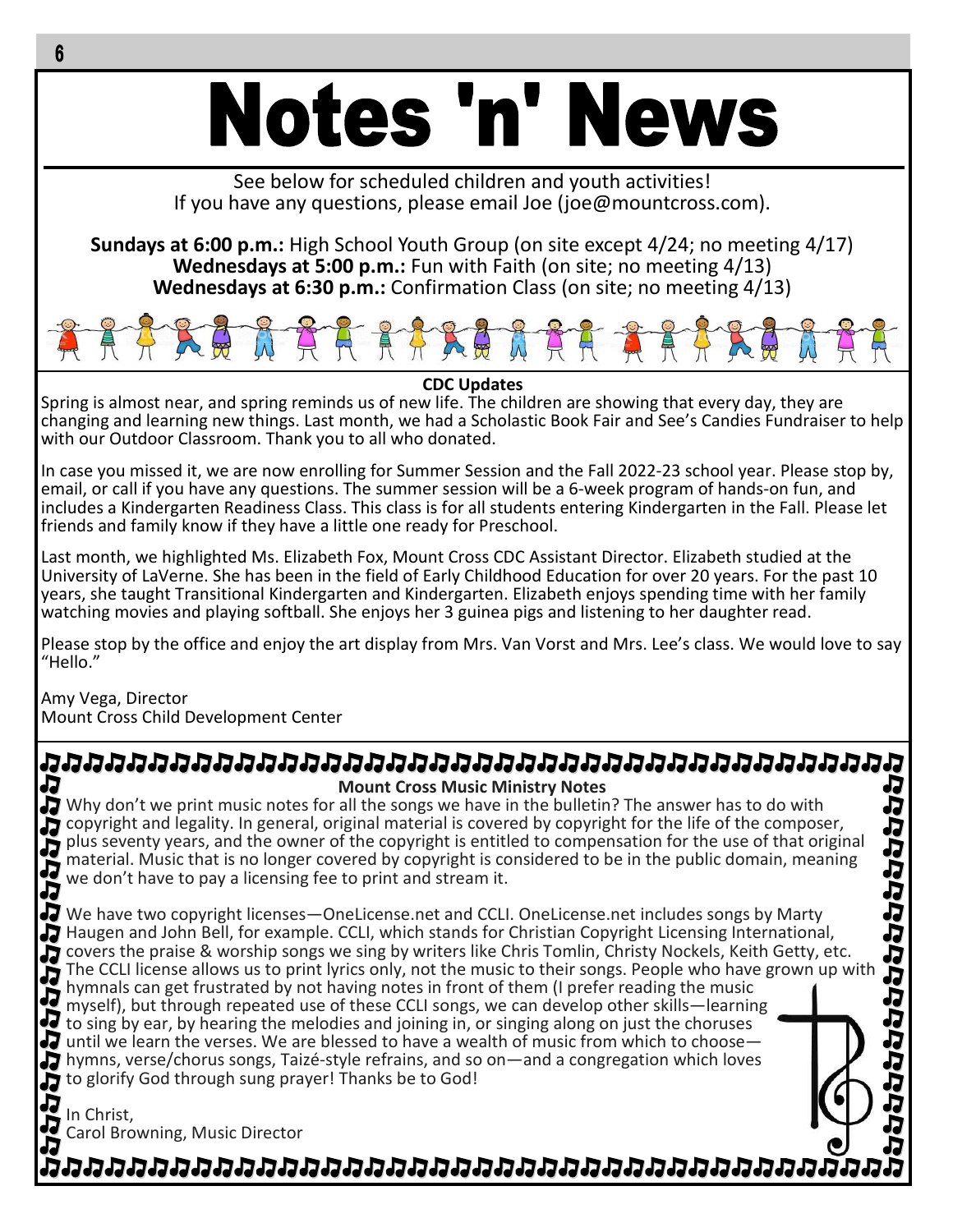# **Notes 'n' News**

See below for scheduled children and youth activities! If you have any questions, please email Joe (joe@mountcross.com).

**Sundays at 6:00 p.m.:** High School Youth Group (on site except 4/24; no meeting 4/17) **Wednesdays at 5:00 p.m.:** Fun with Faith (on site; no meeting 4/13) **Wednesdays at 6:30 p.m.:** Confirmation Class (on site; no meeting 4/13)



**CDC Updates**

Spring is almost near, and spring reminds us of new life. The children are showing that every day, they are changing and learning new things. Last month, we had a Scholastic Book Fair and See's Candies Fundraiser to help with our Outdoor Classroom. Thank you to all who donated.

In case you missed it, we are now enrolling for Summer Session and the Fall 2022-23 school year. Please stop by, email, or call if you have any questions. The summer session will be a 6-week program of hands-on fun, and includes a Kindergarten Readiness Class. This class is for all students entering Kindergarten in the Fall. Please let friends and family know if they have a little one ready for Preschool.

Last month, we highlighted Ms. Elizabeth Fox, Mount Cross CDC Assistant Director. Elizabeth studied at the University of LaVerne. She has been in the field of Early Childhood Education for over 20 years. For the past 10 years, she taught Transitional Kindergarten and Kindergarten. Elizabeth enjoys spending time with her family watching movies and playing softball. She enjoys her 3 guinea pigs and listening to her daughter read.

Please stop by the office and enjoy the art display from Mrs. Van Vorst and Mrs. Lee's class. We would love to say "Hello."

Amy Vega, Director Mount Cross Child Development Center

# ממטמטמטמטמטמטמטמטמטמטמטמטמטמטמטמטמט J ひわらいりつけいけいけんりょう

**Mount Cross Music Ministry Notes** Why don't we print music notes for all the songs we have in the bulletin? The answer has to do with copyright and legality. In general, original material is covered by copyright for the life of the composer, plus seventy years, and the owner of the copyright is entitled to compensation for the use of that original material. Music that is no longer covered by copyright is considered to be in the public domain, meaning we don't have to pay a licensing fee to print and stream it.

We have two copyright licenses—OneLicense.net and CCLI. OneLicense.net includes songs by Marty Haugen and John Bell, for example. CCLI, which stands for Christian Copyright Licensing International, covers the praise & worship songs we sing by writers like Chris Tomlin, Christy Nockels, Keith Getty, etc. The CCLI license allows us to print lyrics only, not the music to their songs. People who have grown up with hymnals can get frustrated by not having notes in front of them (I prefer reading the music myself), but through repeated use of these CCLI songs, we can develop other skills—learning to sing by ear, by hearing the melodies and joining in, or singing along on just the choruses  $\overline{J}$  until we learn the verses. We are blessed to have a wealth of music from which to choose hymns, verse/chorus songs, Taizé-style refrains, and so on—and a congregation which loves to glorify God through sung prayer! Thanks be to God!

In Christ, Carol Browning, Music Director

מממממת המוחמות המוחמות המוחמות המוחמות המוחמות המוחמ

J

ね

JJ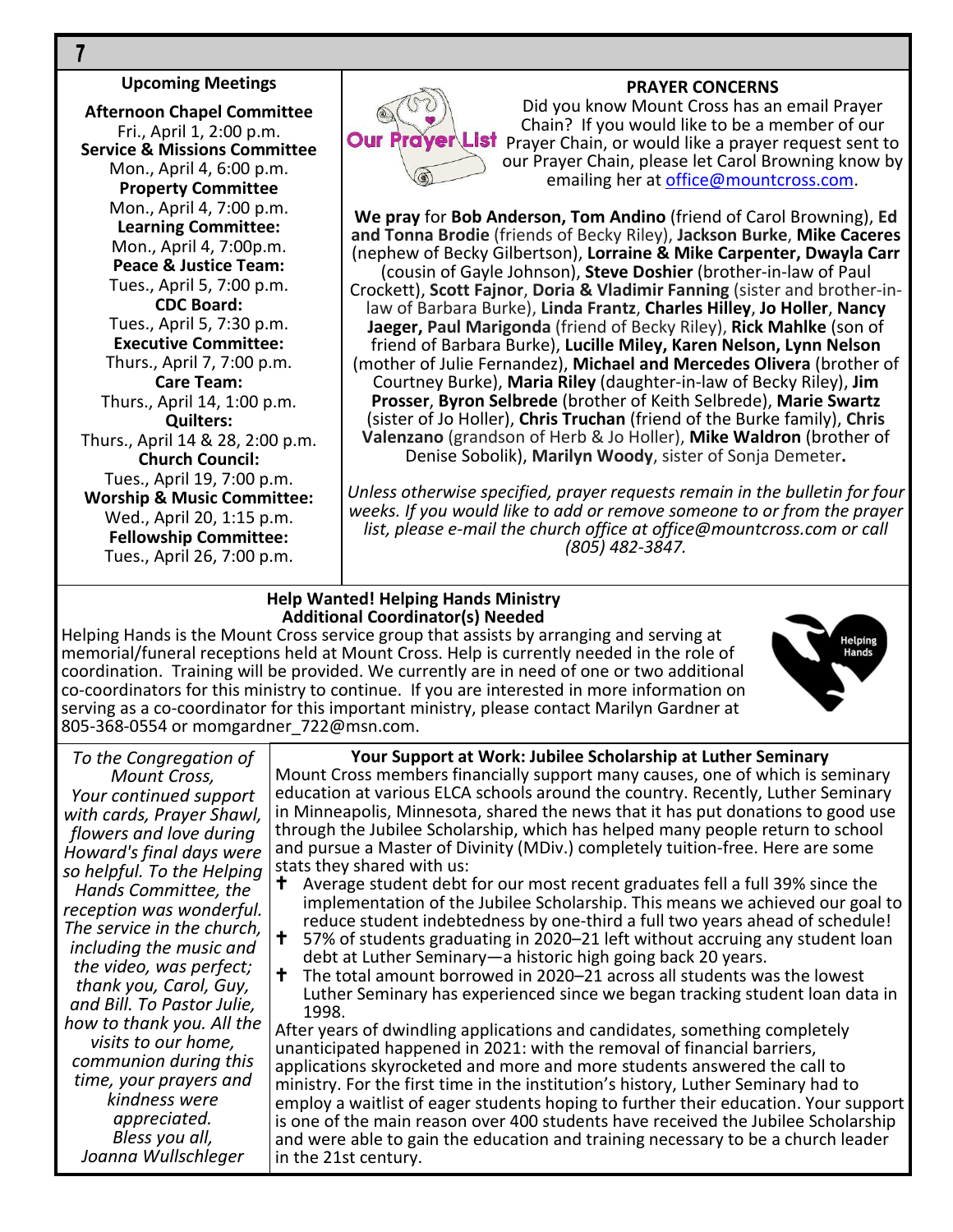#### **Upcoming Meetings**

**Afternoon Chapel Committee** Fri., April 1, 2:00 p.m. **Service & Missions Committee** Mon., April 4, 6:00 p.m. **Property Committee** Mon., April 4, 7:00 p.m. **Learning Committee:** Mon., April 4, 7:00p.m. **Peace & Justice Team:** Tues., April 5, 7:00 p.m. **CDC Board:** Tues., April 5, 7:30 p.m. **Executive Committee:** Thurs., April 7, 7:00 p.m. **Care Team:** Thurs., April 14, 1:00 p.m. **Quilters:** Thurs., April 14 & 28, 2:00 p.m. **Church Council:** Tues., April 19, 7:00 p.m. **Worship & Music Committee:** Wed., April 20, 1:15 p.m. **Fellowship Committee:** Tues., April 26, 7:00 p.m.

#### **PRAYER CONCERNS**



Did you know Mount Cross has an email Prayer Chain? If you would like to be a member of our **Our Prayer List** Praver Chain, or would like a prayer request sent to our Prayer Chain, please let Carol Browning know by emailing her at office@mountcross.com.

**We pray** for **Bob Anderson, Tom Andino** (friend of Carol Browning), **Ed and Tonna Brodie** (friends of Becky Riley), **Jackson Burke**, **Mike Caceres** (nephew of Becky Gilbertson), **Lorraine & Mike Carpenter, Dwayla Carr** (cousin of Gayle Johnson), **Steve Doshier** (brother-in-law of Paul Crockett), **Scott Fajnor**, **Doria & Vladimir Fanning** (sister and brother-inlaw of Barbara Burke), **Linda Frantz**, **Charles Hilley**, **Jo Holler**, **Nancy Jaeger, Paul Marigonda** (friend of Becky Riley), **Rick Mahlke** (son of friend of Barbara Burke), **Lucille Miley, Karen Nelson, Lynn Nelson** (mother of Julie Fernandez), **Michael and Mercedes Olivera** (brother of Courtney Burke), **Maria Riley** (daughter-in-law of Becky Riley), **Jim Prosser**, **Byron Selbrede** (brother of Keith Selbrede), **Marie Swartz** (sister of Jo Holler), **Chris Truchan** (friend of the Burke family), **Chris Valenzano** (grandson of Herb & Jo Holler), **Mike Waldron** (brother of Denise Sobolik), **Marilyn Woody**, sister of Sonja Demeter**.**

*Unless otherwise specified, prayer requests remain in the bulletin for four weeks. If you would like to add or remove someone to or from the prayer list, please e-mail the church office at office@mountcross.com or call (805) 482-3847.*

#### **Help Wanted! Helping Hands Ministry Additional Coordinator(s) Needed**

Helping Hands is the Mount Cross service group that assists by arranging and serving at memorial/funeral receptions held at Mount Cross. Help is currently needed in the role of coordination. Training will be provided. We currently are in need of one or two additional co-coordinators for this ministry to continue. If you are interested in more information on serving as a co-coordinator for this important ministry, please contact Marilyn Gardner at 805-368-0554 or momgardner\_722@msn.com.



*To the Congregation of Mount Cross, Your continued support with cards, Prayer Shawl, flowers and love during Howard's final days were so helpful. To the Helping Hands Committee, the reception was wonderful. The service in the church, including the music and the video, was perfect; thank you, Carol, Guy, and Bill. To Pastor Julie, how to thank you. All the visits to our home, communion during this time, your prayers and kindness were appreciated. Bless you all, Joanna Wullschleger*

#### **Your Support at Work: Jubilee Scholarship at Luther Seminary** Mount Cross members financially support many causes, one of which is seminary education at various ELCA schools around the country. Recently, Luther Seminary

in Minneapolis, Minnesota, shared the news that it has put donations to good use through the Jubilee Scholarship, which has helped many people return to school and pursue a Master of Divinity (MDiv.) completely tuition-free. Here are some

- stats they shared with us:<br>**+** Average student debt Average student debt for our most recent graduates fell a full 39% since the implementation of the Jubilee Scholarship. This means we achieved our goal to reduce student indebtedness by one-third a full two years ahead of schedule!
- 57% of students graduating in 2020–21 left without accruing any student loan debt at Luther Seminary—a historic high going back 20 years.
- $\dagger$  The total amount borrowed in 2020–21 across all students was the lowest Luther Seminary has experienced since we began tracking student loan data in 1998.

After years of dwindling applications and candidates, something completely unanticipated happened in 2021: with the removal of financial barriers, applications skyrocketed and more and more students answered the call to ministry. For the first time in the institution's history, Luther Seminary had to employ a waitlist of eager students hoping to further their education. Your support is one of the main reason over 400 students have received the Jubilee Scholarship and were able to gain the education and training necessary to be a church leader in the 21st century.

 $\overline{7}$